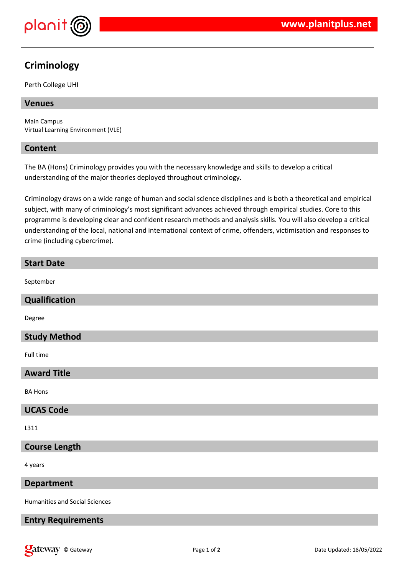

# **Criminology**

Perth College UHI

## **Venues**

Main Campus Virtual Learning Environment (VLE)

## **Content**

The BA (Hons) Criminology provides you with the necessary knowledge and skills to develop a critical understanding of the major theories deployed throughout criminology.

Criminology draws on a wide range of human and social science disciplines and is both a theoretical and empirical subject, with many of criminology's most significant advances achieved through empirical studies. Core to this programme is developing clear and confident research methods and analysis skills. You will also develop a critical understanding of the local, national and international context of crime, offenders, victimisation and responses to crime (including cybercrime).

| <b>Start Date</b>    |
|----------------------|
| September            |
| Qualification        |
| Degree               |
| <b>Study Method</b>  |
| Full time            |
| <b>Award Title</b>   |
| <b>BA Hons</b>       |
| <b>UCAS Code</b>     |
| L311                 |
| <b>Course Length</b> |
| 4 years              |
| <b>Department</b>    |

Humanities and Social Sciences

## **Entry Requirements**